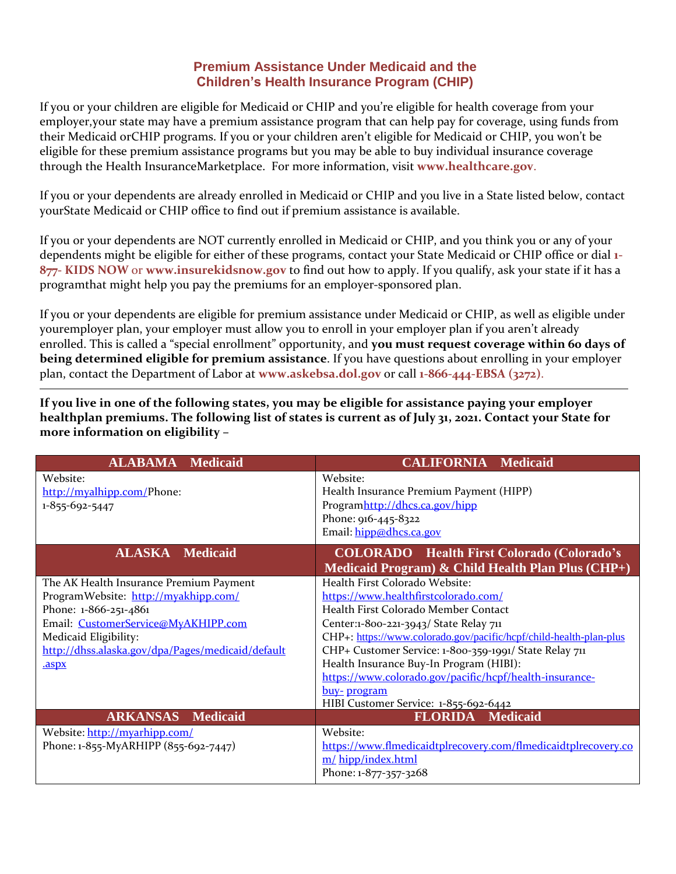## **Premium Assistance Under Medicaid and the Children's Health Insurance Program (CHIP)**

If you or your children are eligible for Medicaid or CHIP and you're eligible for health coverage from your employer,your state may have a premium assistance program that can help pay for coverage, using funds from their Medicaid orCHIP programs. If you or your children aren't eligible for Medicaid or CHIP, you won't be eligible for these premium assistance programs but you may be able to buy individual insurance coverage through the Health InsuranceMarketplace. For more information, visit **[www.healthcare.gov](http://www.healthcare.gov/)**.

If you or your dependents are already enrolled in Medicaid or CHIP and you live in a State listed below, contact yourState Medicaid or CHIP office to find out if premium assistance is available.

If you or your dependents are NOT currently enrolled in Medicaid or CHIP, and you think you or any of your dependents might be eligible for either of these programs, contact your State Medicaid or CHIP office or dial **1- 877- KIDS NOW** or **[www.insurekidsnow.gov](http://www.insurekidsnow.gov/)** to find out how to apply. If you qualify, ask your state if it has a programthat might help you pay the premiums for an employer-sponsored plan.

If you or your dependents are eligible for premium assistance under Medicaid or CHIP, as well as eligible under youremployer plan, your employer must allow you to enroll in your employer plan if you aren't already enrolled. This is called a "special enrollment" opportunity, and you must request coverage within 60 days of **being determined eligible for premium assistance**. If you have questions about enrolling in your employer plan, contact the Department of Labor at **[www.askebsa.dol.gov](http://www.askebsa.dol.gov/)** or call **1-866-444-EBSA (3272)**.

**If you live in one of the following states, you may be eligible for assistance paying your employer healthplan premiums. The following list of states is current as of July 31, 2021. Contact your State for more information on eligibility –**

| <b>ALABAMA Medicaid</b>                                                                                                                                                                                                                | <b>CALIFORNIA Medicaid</b>                                                                                                                                                                                                                                                                                                                                                                                                                             |
|----------------------------------------------------------------------------------------------------------------------------------------------------------------------------------------------------------------------------------------|--------------------------------------------------------------------------------------------------------------------------------------------------------------------------------------------------------------------------------------------------------------------------------------------------------------------------------------------------------------------------------------------------------------------------------------------------------|
| Website:<br>http://myalhipp.com/Phone:<br>1-855-692-5447                                                                                                                                                                               | Website:<br>Health Insurance Premium Payment (HIPP)<br>Programhttp://dhcs.ca.gov/hipp<br>Phone: 916-445-8322<br>Email: hipp@dhcs.ca.gov                                                                                                                                                                                                                                                                                                                |
| <b>ALASKA Medicaid</b>                                                                                                                                                                                                                 | <b>COLORADO</b> Health First Colorado (Colorado's<br>Medicaid Program) $\&$ Child Health Plan Plus (CHP+)                                                                                                                                                                                                                                                                                                                                              |
| The AK Health Insurance Premium Payment<br>ProgramWebsite: http://myakhipp.com/<br>Phone: 1-866-251-4861<br>Email: CustomerService@MyAKHIPP.com<br>Medicaid Eligibility:<br>http://dhss.alaska.gov/dpa/Pages/medicaid/default<br>.aspx | Health First Colorado Website:<br>https://www.healthfirstcolorado.com/<br>Health First Colorado Member Contact<br>Center:1-800-221-3943/ State Relay 711<br>CHP+: https://www.colorado.gov/pacific/hcpf/child-health-plan-plus<br>CHP+ Customer Service: 1-800-359-1991/ State Relay 711<br>Health Insurance Buy-In Program (HIBI):<br>https://www.colorado.gov/pacific/hcpf/health-insurance-<br>buy-program<br>HIBI Customer Service: 1-855-692-6442 |
| <b>ARKANSAS</b><br><b>Medicaid</b>                                                                                                                                                                                                     | <b>FLORIDA</b> Medicaid                                                                                                                                                                                                                                                                                                                                                                                                                                |
| Website: http://myarhipp.com/<br>Phone: 1-855-MyARHIPP (855-692-7447)                                                                                                                                                                  | Website:<br>https://www.flmedicaidtplrecovery.com/flmedicaidtplrecovery.co<br>m/hipp/index.html<br>Phone: 1-877-357-3268                                                                                                                                                                                                                                                                                                                               |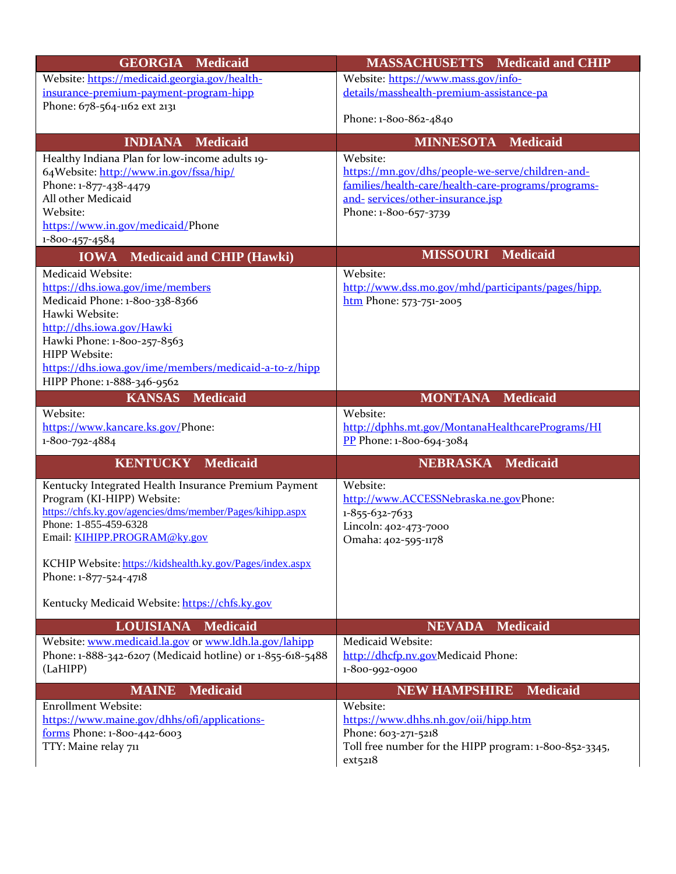| <b>GEORGIA Medicaid</b>                                                            | <b>MASSACHUSETTS</b> Medicaid and CHIP                                                  |
|------------------------------------------------------------------------------------|-----------------------------------------------------------------------------------------|
| Website: https://medicaid.georgia.gov/health-                                      | Website: https://www.mass.gov/info-                                                     |
| insurance-premium-payment-program-hipp                                             | details/masshealth-premium-assistance-pa                                                |
| Phone: 678-564-1162 ext 2131                                                       |                                                                                         |
|                                                                                    | Phone: 1-800-862-4840                                                                   |
| <b>INDIANA</b><br><b>Medicaid</b>                                                  | <b>MINNESOTA Medicaid</b>                                                               |
| Healthy Indiana Plan for low-income adults 19-                                     | Website:                                                                                |
| 64Website: http://www.in.gov/fssa/hip/                                             | https://mn.gov/dhs/people-we-serve/children-and-                                        |
| Phone: 1-877-438-4479<br>All other Medicaid                                        | families/health-care/health-care-programs/programs-<br>and-services/other-insurance.isp |
| Website:                                                                           | Phone: 1-800-657-3739                                                                   |
| https://www.in.gov/medicaid/Phone                                                  |                                                                                         |
| 1-800-457-4584                                                                     |                                                                                         |
| <b>Medicaid and CHIP (Hawki)</b><br><b>IOWA</b>                                    | <b>MISSOURI</b> Medicaid                                                                |
| Medicaid Website:                                                                  | Website:                                                                                |
| https://dhs.iowa.gov/ime/members                                                   | http://www.dss.mo.gov/mhd/participants/pages/hipp.                                      |
| Medicaid Phone: 1-800-338-8366                                                     | htm Phone: 573-751-2005                                                                 |
| Hawki Website:                                                                     |                                                                                         |
| http://dhs.iowa.gov/Hawki                                                          |                                                                                         |
| Hawki Phone: 1-800-257-8563<br>HIPP Website:                                       |                                                                                         |
| https://dhs.iowa.gov/ime/members/medicaid-a-to-z/hipp                              |                                                                                         |
| HIPP Phone: 1-888-346-9562                                                         |                                                                                         |
| <b>KANSAS</b><br><b>Medicaid</b>                                                   | <b>MONTANA Medicaid</b>                                                                 |
| Website:                                                                           | Website:                                                                                |
| https://www.kancare.ks.gov/Phone:                                                  | http://dphhs.mt.gov/MontanaHealthcarePrograms/HI                                        |
| 1-800-792-4884                                                                     | $\frac{PP}{PP}$ Phone: 1-800-694-3084                                                   |
| <b>KENTUCKY Medicaid</b>                                                           | <b>NEBRASKA Medicaid</b>                                                                |
| Kentucky Integrated Health Insurance Premium Payment                               | Website:                                                                                |
| Program (KI-HIPP) Website:                                                         | http://www.ACCESSNebraska.ne.govPhone:                                                  |
| https://chfs.ky.gov/agencies/dms/member/Pages/kihipp.aspx<br>Phone: 1-855-459-6328 | 1-855-632-7633                                                                          |
| Email: KIHIPP.PROGRAM@ky.gov                                                       | Lincoln: 402-473-7000<br>Omaha: 402-595-1178                                            |
|                                                                                    |                                                                                         |
| KCHIP Website: https://kidshealth.ky.gov/Pages/index.aspx                          |                                                                                         |
| Phone: 1-877-524-4718                                                              |                                                                                         |
| Kentucky Medicaid Website: https://chfs.ky.gov                                     |                                                                                         |
| <b>LOUISIANA</b><br>Medicaid                                                       | <b>NEVADA</b><br><b>Medicaid</b>                                                        |
| Website: www.medicaid.la.gov or www.ldh.la.gov/lahipp                              | Medicaid Website:                                                                       |
| Phone: 1-888-342-6207 (Medicaid hotline) or 1-855-618-5488                         | http://dhcfp.nv.govMedicaid Phone:                                                      |
| (LaHIPP)                                                                           | 1-800-992-0900                                                                          |
| <b>MAINE</b><br><b>Medicaid</b>                                                    | <b>NEW HAMPSHIRE</b><br><b>Medicaid</b>                                                 |
| <b>Enrollment Website:</b>                                                         | Website:                                                                                |
| https://www.maine.gov/dhhs/ofi/applications-                                       | https://www.dhhs.nh.gov/oii/hipp.htm                                                    |
| forms Phone: 1-800-442-6003                                                        | Phone: 603-271-5218                                                                     |
| TTY: Maine relay 711                                                               | Toll free number for the HIPP program: 1-800-852-3345,<br>ext5218                       |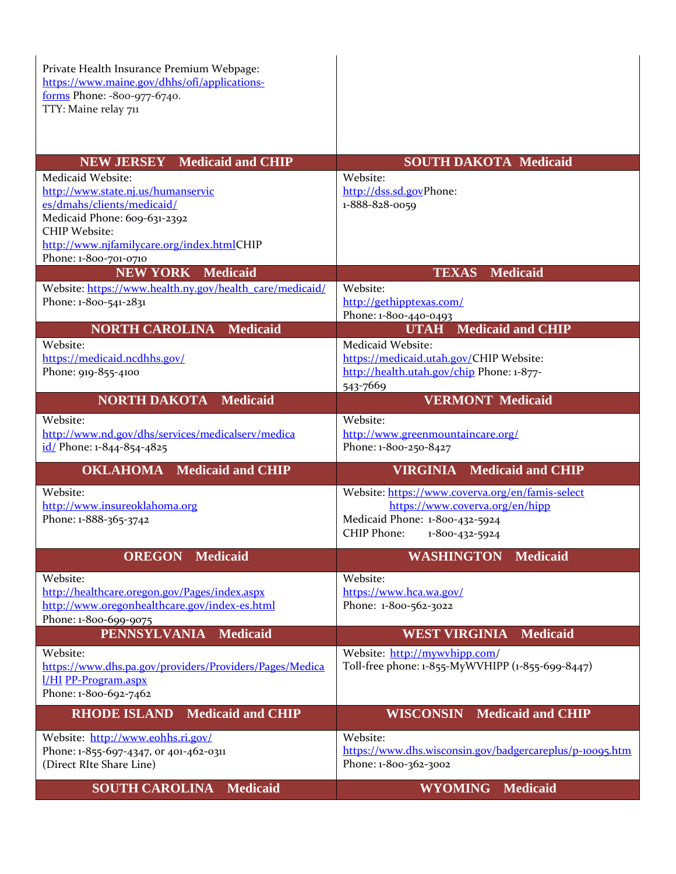Private Health Insurance Premium Webpage: [https://www.maine.gov/dhhs/ofi/applications](https://www.maine.gov/dhhs/ofi/applications-forms)[forms](https://www.maine.gov/dhhs/ofi/applications-forms) Phone: -800-977-6740. TTY: Maine relay 711

| <b>NEW JERSEY</b> Medicaid and CHIP                                               | <b>SOUTH DAKOTA Medicaid</b>                             |
|-----------------------------------------------------------------------------------|----------------------------------------------------------|
| Medicaid Website:                                                                 | Website:                                                 |
| http://www.state.nj.us/humanservic                                                | http://dss.sd.govPhone:                                  |
| es/dmahs/clients/medicaid/                                                        | 1-888-828-0059                                           |
| Medicaid Phone: 609-631-2392                                                      |                                                          |
| <b>CHIP Website:</b>                                                              |                                                          |
| http://www.njfamilycare.org/index.htmlCHIP<br>Phone: 1-800-701-0710               |                                                          |
| <b>NEW YORK Medicaid</b>                                                          | <b>TEXAS</b> Medicaid                                    |
|                                                                                   | Website:                                                 |
| Website: https://www.health.ny.gov/health_care/medicaid/<br>Phone: 1-800-541-2831 | http://gethipptexas.com/                                 |
|                                                                                   | Phone: 1-800-440-0493                                    |
| <b>NORTH CAROLINA</b><br><b>Medicaid</b>                                          | <b>Medicaid and CHIP</b><br><b>UTAH</b>                  |
| Website:                                                                          | Medicaid Website:                                        |
| https://medicaid.ncdhhs.gov/                                                      | https://medicaid.utah.gov/CHIP Website:                  |
| Phone: 919-855-4100                                                               | http://health.utah.gov/chip Phone: 1-877-                |
|                                                                                   | 543-7669                                                 |
| <b>NORTH DAKOTA</b><br><b>Medicaid</b>                                            | <b>VERMONT Medicaid</b>                                  |
|                                                                                   |                                                          |
| Website:                                                                          | Website:                                                 |
| http://www.nd.gov/dhs/services/medicalserv/medica                                 | http://www.greenmountaincare.org/                        |
| id/ Phone: 1-844-854-4825                                                         | Phone: 1-800-250-8427                                    |
| <b>OKLAHOMA</b> Medicaid and CHIP                                                 | <b>Medicaid and CHIP</b><br><b>VIRGINIA</b>              |
| Website:                                                                          | Website: https://www.coverva.org/en/famis-select         |
| http://www.insureoklahoma.org                                                     | https://www.coverva.org/en/hipp                          |
| Phone: 1-888-365-3742                                                             | Medicaid Phone: 1-800-432-5924                           |
|                                                                                   | CHIP Phone:<br>1-800-432-5924                            |
| <b>OREGON</b><br><b>Medicaid</b>                                                  | <b>WASHINGTON</b><br><b>Medicaid</b>                     |
| Website:                                                                          | Website:                                                 |
| http://healthcare.oregon.gov/Pages/index.aspx                                     | https://www.hca.wa.gov/                                  |
| http://www.oregonhealthcare.gov/index-es.html                                     | Phone: 1-800-562-3022                                    |
| Phone: 1-800-699-9075                                                             |                                                          |
| <b>PENNSYLVANIA</b><br><b>Medicaid</b>                                            | <b>WEST VIRGINIA</b><br>Medicaid                         |
| Website:                                                                          | Website: http://mywvhipp.com/                            |
| https://www.dhs.pa.gov/providers/Providers/Pages/Medica                           | Toll-free phone: 1-855-MyWVHIPP (1-855-699-8447)         |
| <u>I/HI PP-Program.aspx</u>                                                       |                                                          |
| Phone: 1-800-692-7462                                                             |                                                          |
| <b>Medicaid and CHIP</b><br><b>RHODE ISLAND</b>                                   | <b>Medicaid and CHIP</b><br><b>WISCONSIN</b>             |
|                                                                                   |                                                          |
| Website: http://www.eohhs.ri.gov/                                                 | Website:                                                 |
| Phone: 1-855-697-4347, or 401-462-0311                                            | https://www.dhs.wisconsin.gov/badgercareplus/p-10095.htm |
| (Direct RIte Share Line)                                                          | Phone: 1-800-362-3002                                    |
| <b>SOUTH CAROLINA</b><br><b>Medicaid</b>                                          | <b>WYOMING</b><br><b>Medicaid</b>                        |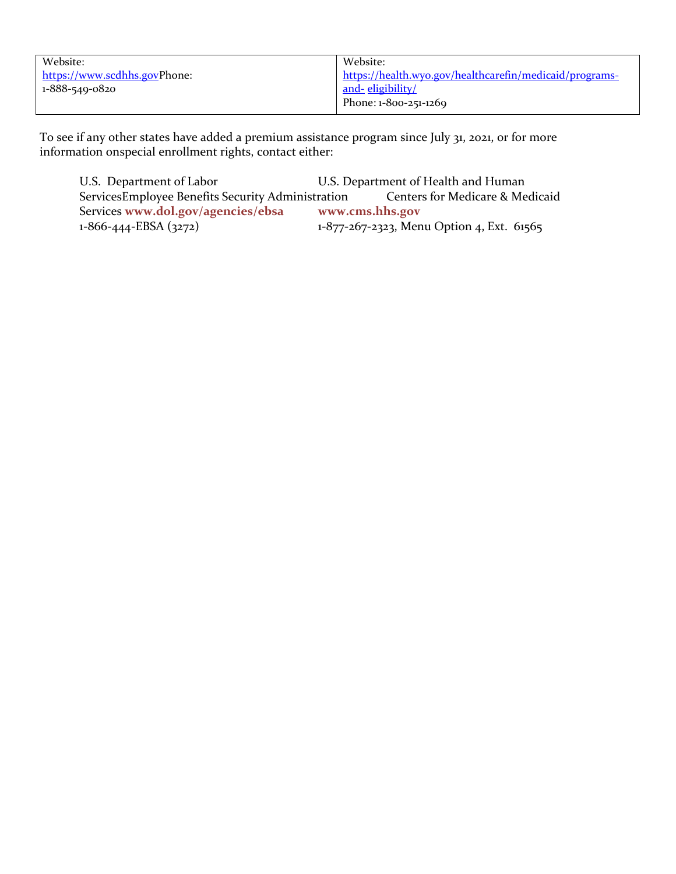| Website:                     | Website:                                                |
|------------------------------|---------------------------------------------------------|
| https://www.scdhhs.govPhone: | https://health.wyo.gov/healthcarefin/medicaid/programs- |
| 1-888-549-0820               | and-eligibility/                                        |
|                              | Phone: 1-800-251-1269                                   |

To see if any other states have added a premium assistance program since July 31, 2021, or for more information onspecial enrollment rights, contact either:

U.S. Department of Labor U.S. Department of Health and Human<br>ServicesEmployee Benefits Security Administration Centers for Medicare & Medicaid ServicesEmployee Benefits Security Administration Services [www.dol.gov/agencies/ebsa](http://www.dol.gov/agencies/ebsa) [www.cms.hhs.gov](http://www.cms.hhs.gov/)<br>1-866-444-EBSA (3272) 1-877-267-2323, Men 1-877-267-2323, Menu Option 4, Ext. 61565